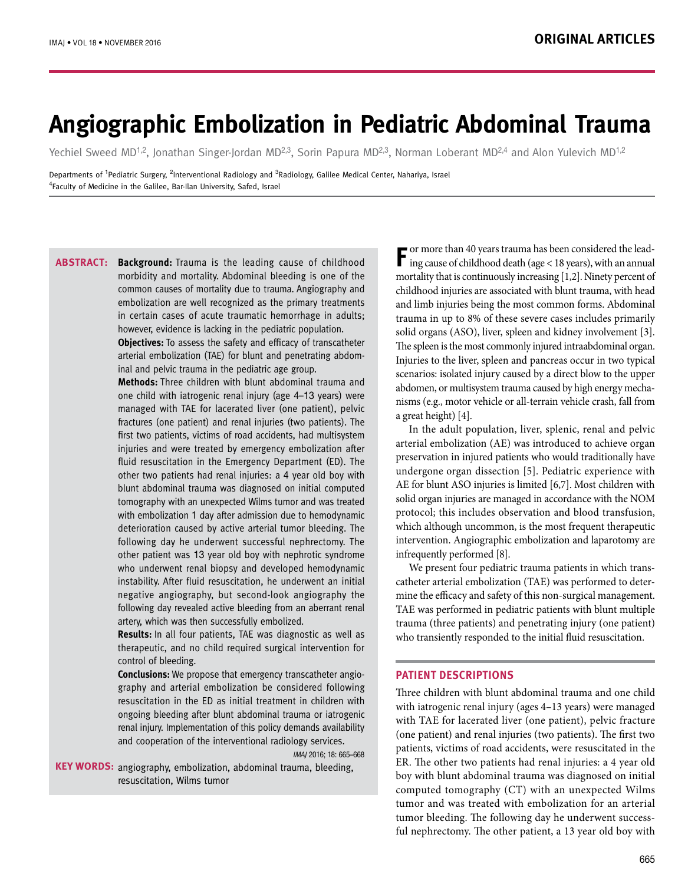# **Angiographic Embolization in Pediatric Abdominal Trauma**

Yechiel Sweed MD<sup>1,2</sup>, Jonathan Singer-Jordan MD<sup>2,3</sup>, Sorin Papura MD<sup>2,3</sup>, Norman Loberant MD<sup>2,4</sup> and Alon Yulevich MD<sup>1,2</sup>

Departments of <sup>1</sup>Pediatric Surgery, <sup>2</sup>Interventional Radiology and <sup>3</sup>Radiology, Galilee Medical Center, Nahariya, Israel 4 Faculty of Medicine in the Galilee, Bar-Ilan University, Safed, Israel

**Background:** Trauma is the leading cause of childhood **Abstract:** morbidity and mortality. Abdominal bleeding is one of the common causes of mortality due to trauma. Angiography and embolization are well recognized as the primary treatments in certain cases of acute traumatic hemorrhage in adults; however, evidence is lacking in the pediatric population.

> **Objectives:** To assess the safety and efficacy of transcatheter arterial embolization (TAE) for blunt and penetrating abdominal and pelvic trauma in the pediatric age group.

> **Methods:** Three children with blunt abdominal trauma and one child with iatrogenic renal injury (age 4–13 years) were managed with TAE for lacerated liver (one patient), pelvic fractures (one patient) and renal injuries (two patients). The first two patients, victims of road accidents, had multisystem injuries and were treated by emergency embolization after fluid resuscitation in the Emergency Department (ED). The other two patients had renal injuries: a 4 year old boy with blunt abdominal trauma was diagnosed on initial computed tomography with an unexpected Wilms tumor and was treated with embolization 1 day after admission due to hemodynamic deterioration caused by active arterial tumor bleeding. The following day he underwent successful nephrectomy. The other patient was 13 year old boy with nephrotic syndrome who underwent renal biopsy and developed hemodynamic instability. After fluid resuscitation, he underwent an initial negative angiography, but second-look angiography the following day revealed active bleeding from an aberrant renal artery, which was then successfully embolized.

> **Results:** In all four patients, TAE was diagnostic as well as therapeutic, and no child required surgical intervention for control of bleeding.

> **Conclusions:** We propose that emergency transcatheter angiography and arterial embolization be considered following resuscitation in the ED as initial treatment in children with ongoing bleeding after blunt abdominal trauma or iatrogenic renal injury. Implementation of this policy demands availability and cooperation of the interventional radiology services.

> > IMAJ 2016; 18: 665–668

**KEY WORDS:** angiography, embolization, abdominal trauma, bleeding, resuscitation, Wilms tumor

**F** or more than 40 years trauma has been considered the lead-<br>ing cause of childhood death (age < 18 years), with an annual mortality that is continuously increasing [1,2]. Ninety percent of childhood injuries are associated with blunt trauma, with head and limb injuries being the most common forms. Abdominal trauma in up to 8% of these severe cases includes primarily solid organs (ASO), liver, spleen and kidney involvement [3]. The spleen is the most commonly injured intraabdominal organ. Injuries to the liver, spleen and pancreas occur in two typical scenarios: isolated injury caused by a direct blow to the upper abdomen, or multisystem trauma caused by high energy mechanisms (e.g., motor vehicle or all-terrain vehicle crash, fall from a great height) [4].

In the adult population, liver, splenic, renal and pelvic arterial embolization (AE) was introduced to achieve organ preservation in injured patients who would traditionally have undergone organ dissection [5]. Pediatric experience with AE for blunt ASO injuries is limited [6,7]. Most children with solid organ injuries are managed in accordance with the NOM protocol; this includes observation and blood transfusion, which although uncommon, is the most frequent therapeutic intervention. Angiographic embolization and laparotomy are infrequently performed [8].

We present four pediatric trauma patients in which transcatheter arterial embolization (TAE) was performed to determine the efficacy and safety of this non-surgical management. TAE was performed in pediatric patients with blunt multiple trauma (three patients) and penetrating injury (one patient) who transiently responded to the initial fluid resuscitation.

# **PATIENT DESCRIPTIONS**

Three children with blunt abdominal trauma and one child with iatrogenic renal injury (ages 4–13 years) were managed with TAE for lacerated liver (one patient), pelvic fracture (one patient) and renal injuries (two patients). The first two patients, victims of road accidents, were resuscitated in the ER. The other two patients had renal injuries: a 4 year old boy with blunt abdominal trauma was diagnosed on initial computed tomography (CT) with an unexpected Wilms tumor and was treated with embolization for an arterial tumor bleeding. The following day he underwent successful nephrectomy. The other patient, a 13 year old boy with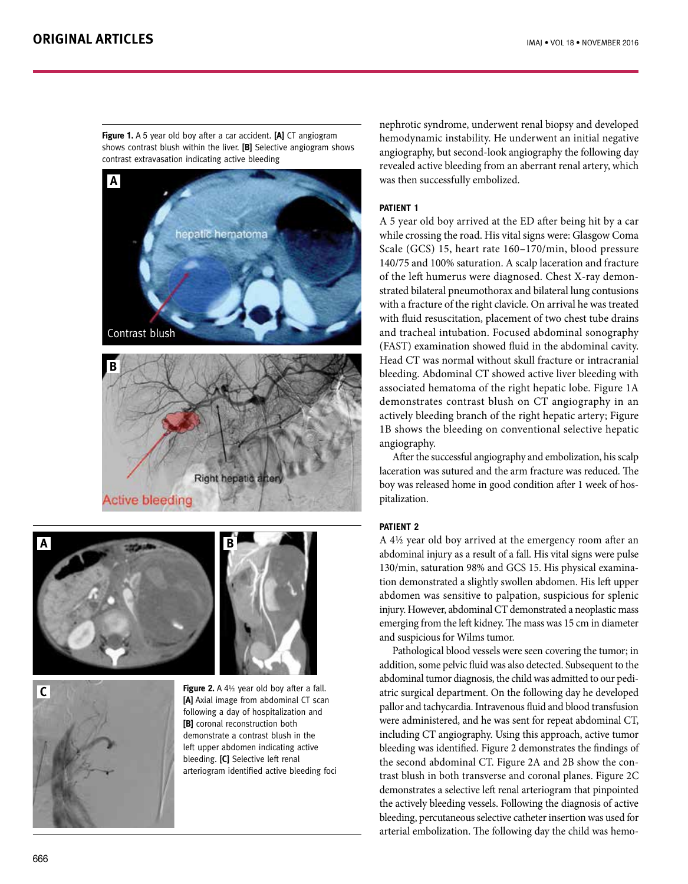**Figure 1.** A 5 year old boy after a car accident. **[A]** CT angiogram shows contrast blush within the liver. **[B]** Selective angiogram shows contrast extravasation indicating active bleeding







**Figure 2.** A 4½ year old boy after a fall. **[A]** Axial image from abdominal CT scan following a day of hospitalization and **[B]** coronal reconstruction both demonstrate a contrast blush in the left upper abdomen indicating active bleeding. **[C]** Selective left renal arteriogram identified active bleeding foci nephrotic syndrome, underwent renal biopsy and developed hemodynamic instability. He underwent an initial negative angiography, but second-look angiography the following day revealed active bleeding from an aberrant renal artery, which was then successfully embolized.

# **Patient 1**

A 5 year old boy arrived at the ED after being hit by a car while crossing the road. His vital signs were: Glasgow Coma Scale (GCS) 15, heart rate 160–170/min, blood pressure 140/75 and 100% saturation. A scalp laceration and fracture of the left humerus were diagnosed. Chest X-ray demonstrated bilateral pneumothorax and bilateral lung contusions with a fracture of the right clavicle. On arrival he was treated with fluid resuscitation, placement of two chest tube drains and tracheal intubation. Focused abdominal sonography (FAST) examination showed fluid in the abdominal cavity. Head CT was normal without skull fracture or intracranial bleeding. Abdominal CT showed active liver bleeding with associated hematoma of the right hepatic lobe. Figure 1A demonstrates contrast blush on CT angiography in an actively bleeding branch of the right hepatic artery; Figure 1B shows the bleeding on conventional selective hepatic angiography.

After the successful angiography and embolization, his scalp laceration was sutured and the arm fracture was reduced. The boy was released home in good condition after 1 week of hospitalization.

## **Patient 2**

A 4½ year old boy arrived at the emergency room after an abdominal injury as a result of a fall. His vital signs were pulse 130/min, saturation 98% and GCS 15. His physical examination demonstrated a slightly swollen abdomen. His left upper abdomen was sensitive to palpation, suspicious for splenic injury. However, abdominal CT demonstrated a neoplastic mass emerging from the left kidney. The mass was 15 cm in diameter and suspicious for Wilms tumor.

Pathological blood vessels were seen covering the tumor; in addition, some pelvic fluid was also detected. Subsequent to the abdominal tumor diagnosis, the child was admitted to our pediatric surgical department. On the following day he developed pallor and tachycardia. Intravenous fluid and blood transfusion were administered, and he was sent for repeat abdominal CT, including CT angiography. Using this approach, active tumor bleeding was identified. Figure 2 demonstrates the findings of the second abdominal CT. Figure 2A and 2B show the contrast blush in both transverse and coronal planes. Figure 2C demonstrates a selective left renal arteriogram that pinpointed the actively bleeding vessels. Following the diagnosis of active bleeding, percutaneous selective catheter insertion was used for arterial embolization. The following day the child was hemo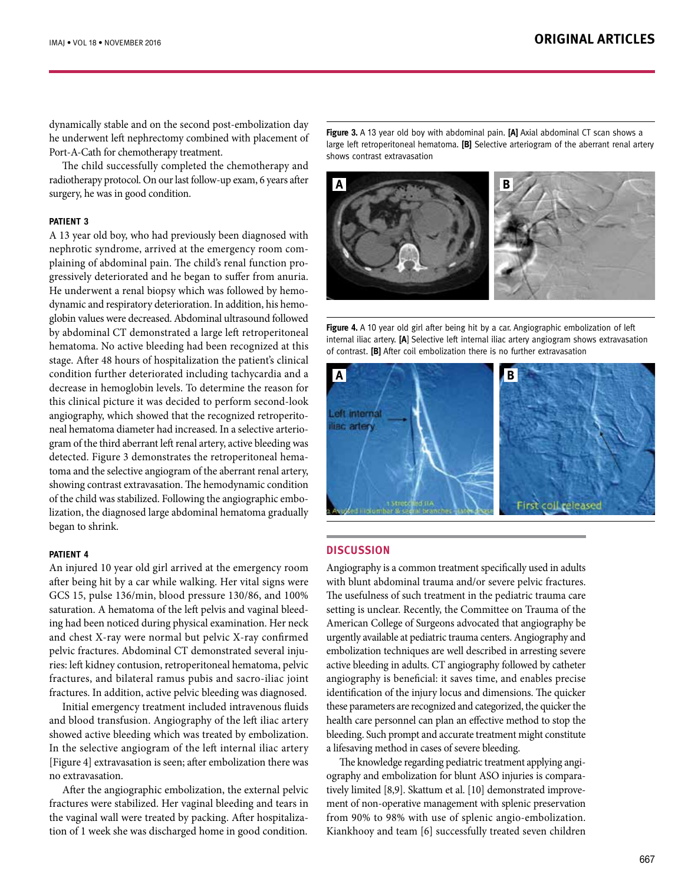dynamically stable and on the second post-embolization day he underwent left nephrectomy combined with placement of Port-A-Cath for chemotherapy treatment.

The child successfully completed the chemotherapy and radiotherapy protocol. On our last follow-up exam, 6 years after surgery, he was in good condition.

## **Patient 3**

A 13 year old boy, who had previously been diagnosed with nephrotic syndrome, arrived at the emergency room complaining of abdominal pain. The child's renal function progressively deteriorated and he began to suffer from anuria. He underwent a renal biopsy which was followed by hemodynamic and respiratory deterioration. In addition, his hemoglobin values were decreased. Abdominal ultrasound followed by abdominal CT demonstrated a large left retroperitoneal hematoma. No active bleeding had been recognized at this stage. After 48 hours of hospitalization the patient's clinical condition further deteriorated including tachycardia and a decrease in hemoglobin levels. To determine the reason for this clinical picture it was decided to perform second-look angiography, which showed that the recognized retroperitoneal hematoma diameter had increased. In a selective arteriogram of the third aberrant left renal artery, active bleeding was detected. Figure 3 demonstrates the retroperitoneal hematoma and the selective angiogram of the aberrant renal artery, showing contrast extravasation. The hemodynamic condition of the child was stabilized. Following the angiographic embolization, the diagnosed large abdominal hematoma gradually began to shrink.

## **Patient 4**

An injured 10 year old girl arrived at the emergency room after being hit by a car while walking. Her vital signs were GCS 15, pulse 136/min, blood pressure 130/86, and 100% saturation. A hematoma of the left pelvis and vaginal bleeding had been noticed during physical examination. Her neck and chest X-ray were normal but pelvic X-ray confirmed pelvic fractures. Abdominal CT demonstrated several injuries: left kidney contusion, retroperitoneal hematoma, pelvic fractures, and bilateral ramus pubis and sacro-iliac joint fractures. In addition, active pelvic bleeding was diagnosed.

Initial emergency treatment included intravenous fluids and blood transfusion. Angiography of the left iliac artery showed active bleeding which was treated by embolization. In the selective angiogram of the left internal iliac artery [Figure 4] extravasation is seen; after embolization there was no extravasation.

After the angiographic embolization, the external pelvic fractures were stabilized. Her vaginal bleeding and tears in the vaginal wall were treated by packing. After hospitalization of 1 week she was discharged home in good condition. **Figure 3.** A 13 year old boy with abdominal pain. **[A]** Axial abdominal CT scan shows a large left retroperitoneal hematoma. **[B]** Selective arteriogram of the aberrant renal artery shows contrast extravasation



**Figure 4.** A 10 year old girl after being hit by a car. Angiographic embolization of left internal iliac artery. **[A**] Selective left internal iliac artery angiogram shows extravasation of contrast. **[B]** After coil embolization there is no further extravasation



# **DISCUSSION**

Angiography is a common treatment specifically used in adults with blunt abdominal trauma and/or severe pelvic fractures. The usefulness of such treatment in the pediatric trauma care setting is unclear. Recently, the Committee on Trauma of the American College of Surgeons advocated that angiography be urgently available at pediatric trauma centers. Angiography and embolization techniques are well described in arresting severe active bleeding in adults. CT angiography followed by catheter angiography is beneficial: it saves time, and enables precise identification of the injury locus and dimensions. The quicker these parameters are recognized and categorized, the quicker the health care personnel can plan an effective method to stop the bleeding. Such prompt and accurate treatment might constitute a lifesaving method in cases of severe bleeding.

The knowledge regarding pediatric treatment applying angiography and embolization for blunt ASO injuries is comparatively limited [8,9]. Skattum et al. [10] demonstrated improvement of non-operative management with splenic preservation from 90% to 98% with use of splenic angio-embolization. Kiankhooy and team [6] successfully treated seven children